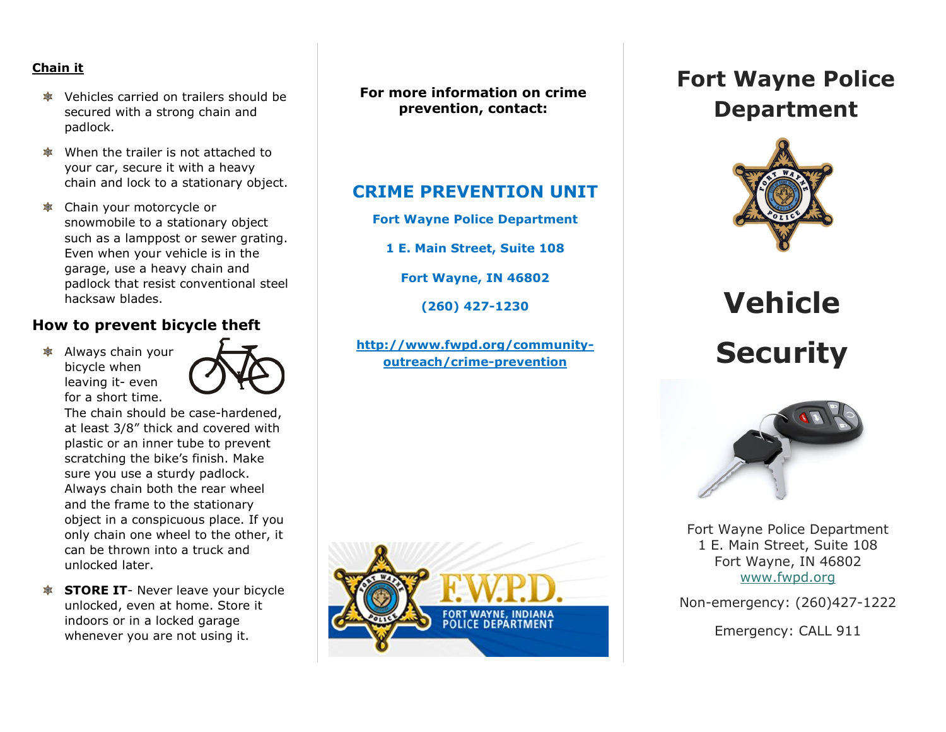#### **Chain it**

- $\bullet$  Vehicles carried on trailers should be secured with a strong chain and padlock.
- When the trailer is not attached to your car, secure it with a heavy chain and lock to a stationary object.
- Chain your motorcycle or snowmobile to a stationary object such as a lamppost or sewer grating. Even when your vehicle is in the garage, use a heavy chain and padlock that resist conventional steel hacksaw blades.

#### **How to prevent bicycle theft**

 $*$  Always chain your bicycle when leaving it- even for a short time.



The chain should be case-hardened, at least 3/8" thick and covered with plastic or an inner tube to prevent scratching the bike's finish. Make sure you use a sturdy padlock. Always chain both the rear wheel and the frame to the stationary object in a conspicuous place. If you only chain one wheel to the other, it can be thrown into a truck and unlocked later.

**STORE IT**- Never leave your bicycle unlocked, even at home. Store it indoors or in a locked garage whenever you are not using it.

**For more information on crime prevention, contact:**

## **CRIME PREVENTION UNIT**

**Fort Wayne Police Department**

**1 E. Main Street, Suite 108**

**Fort Wayne, IN 46802**

**(260) 427-1230**

**[http://www.fwpd.org/community](http://www.fwpd.org/community-outreach/crime-prevention)[outreach/crime-prevention](http://www.fwpd.org/community-outreach/crime-prevention)**



# **Fort Wayne Police Department**



**Vehicle Security**



Fort Wayne Police Department 1 E. Main Street, Suite 108 Fort Wayne, IN 46802 [www.fwpd.org](http://www.fwpd.org/)

Non-emergency: (260)427-1222

Emergency: CALL 911